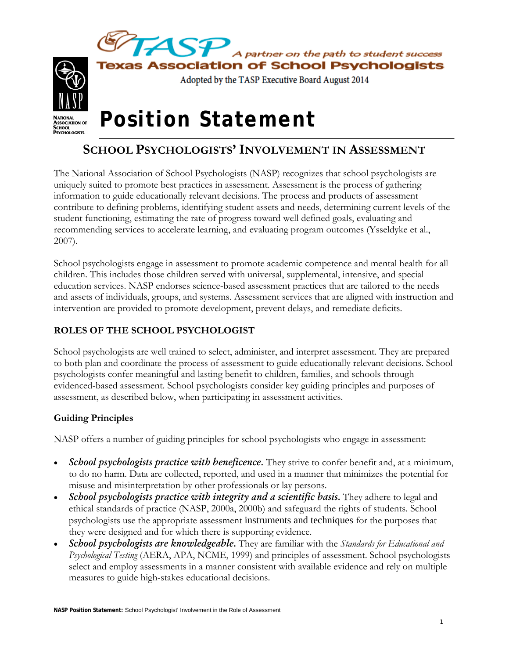

# **SCHOOL PSYCHOLOGISTS' INVOLVEMENT IN ASSESSMENT**

The National Association of School Psychologists (NASP) recognizes that school psychologists are uniquely suited to promote best practices in assessment. Assessment is the process of gathering information to guide educationally relevant decisions. The process and products of assessment contribute to defining problems, identifying student assets and needs, determining current levels of the student functioning, estimating the rate of progress toward well defined goals, evaluating and recommending services to accelerate learning, and evaluating program outcomes (Ysseldyke et al., 2007).

School psychologists engage in assessment to promote academic competence and mental health for all children. This includes those children served with universal, supplemental, intensive, and special education services. NASP endorses science-based assessment practices that are tailored to the needs and assets of individuals, groups, and systems. Assessment services that are aligned with instruction and intervention are provided to promote development, prevent delays, and remediate deficits.

# **ROLES OF THE SCHOOL PSYCHOLOGIST**

School psychologists are well trained to select, administer, and interpret assessment. They are prepared to both plan and coordinate the process of assessment to guide educationally relevant decisions. School psychologists confer meaningful and lasting benefit to children, families, and schools through evidenced-based assessment. School psychologists consider key guiding principles and purposes of assessment, as described below, when participating in assessment activities.

## **Guiding Principles**

NASP offers a number of guiding principles for school psychologists who engage in assessment:

- *School psychologists practice with beneficence.* They strive to confer benefit and, at a minimum, to do no harm. Data are collected, reported, and used in a manner that minimizes the potential for misuse and misinterpretation by other professionals or lay persons.
- *School psychologists practice with integrity and a scientific basis.* They adhere to legal and ethical standards of practice (NASP, 2000a, 2000b) and safeguard the rights of students. School psychologists use the appropriate assessment instruments and techniques for the purposes that they were designed and for which there is supporting evidence.
- *School psychologists are knowledgeable.* They are familiar with the *Standards for Educational and Psychological Testing* (AERA, APA, NCME, 1999) and principles of assessment. School psychologists select and employ assessments in a manner consistent with available evidence and rely on multiple measures to guide high-stakes educational decisions.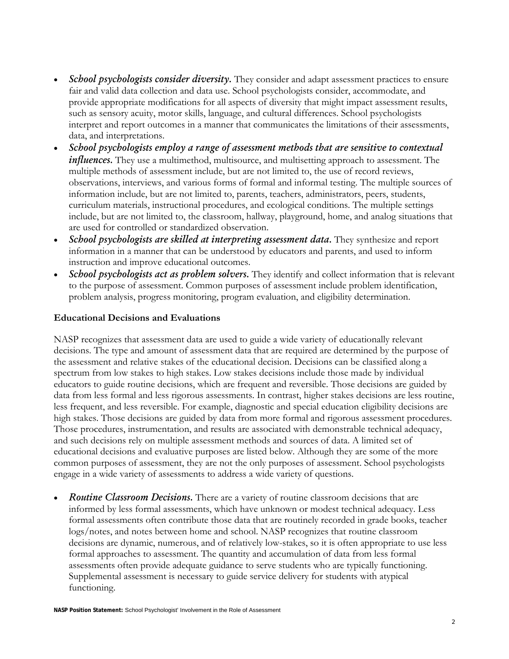- *School psychologists consider diversity.* They consider and adapt assessment practices to ensure fair and valid data collection and data use. School psychologists consider, accommodate, and provide appropriate modifications for all aspects of diversity that might impact assessment results, such as sensory acuity, motor skills, language, and cultural differences. School psychologists interpret and report outcomes in a manner that communicates the limitations of their assessments, data, and interpretations.
- *School psychologists employ a range of assessment methods that are sensitive to contextual influences*. They use a multimethod, multisource, and multisetting approach to assessment. The multiple methods of assessment include, but are not limited to, the use of record reviews, observations, interviews, and various forms of formal and informal testing. The multiple sources of information include, but are not limited to, parents, teachers, administrators, peers, students, curriculum materials, instructional procedures, and ecological conditions. The multiple settings include, but are not limited to, the classroom, hallway, playground, home, and analog situations that are used for controlled or standardized observation.
- *School psychologists are skilled at interpreting assessment data.* They synthesize and report information in a manner that can be understood by educators and parents, and used to inform instruction and improve educational outcomes.
- *School psychologists act as problem solvers.* They identify and collect information that is relevant to the purpose of assessment. Common purposes of assessment include problem identification, problem analysis, progress monitoring, program evaluation, and eligibility determination.

## **Educational Decisions and Evaluations**

NASP recognizes that assessment data are used to guide a wide variety of educationally relevant decisions. The type and amount of assessment data that are required are determined by the purpose of the assessment and relative stakes of the educational decision. Decisions can be classified along a spectrum from low stakes to high stakes. Low stakes decisions include those made by individual educators to guide routine decisions, which are frequent and reversible. Those decisions are guided by data from less formal and less rigorous assessments. In contrast, higher stakes decisions are less routine, less frequent, and less reversible. For example, diagnostic and special education eligibility decisions are high stakes. Those decisions are guided by data from more formal and rigorous assessment procedures. Those procedures, instrumentation, and results are associated with demonstrable technical adequacy, and such decisions rely on multiple assessment methods and sources of data. A limited set of educational decisions and evaluative purposes are listed below. Although they are some of the more common purposes of assessment, they are not the only purposes of assessment. School psychologists engage in a wide variety of assessments to address a wide variety of questions.

• *Routine Classroom Decisions.* There are a variety of routine classroom decisions that are informed by less formal assessments, which have unknown or modest technical adequacy. Less formal assessments often contribute those data that are routinely recorded in grade books, teacher logs/notes, and notes between home and school. NASP recognizes that routine classroom decisions are dynamic, numerous, and of relatively low-stakes, so it is often appropriate to use less formal approaches to assessment. The quantity and accumulation of data from less formal assessments often provide adequate guidance to serve students who are typically functioning. Supplemental assessment is necessary to guide service delivery for students with atypical functioning.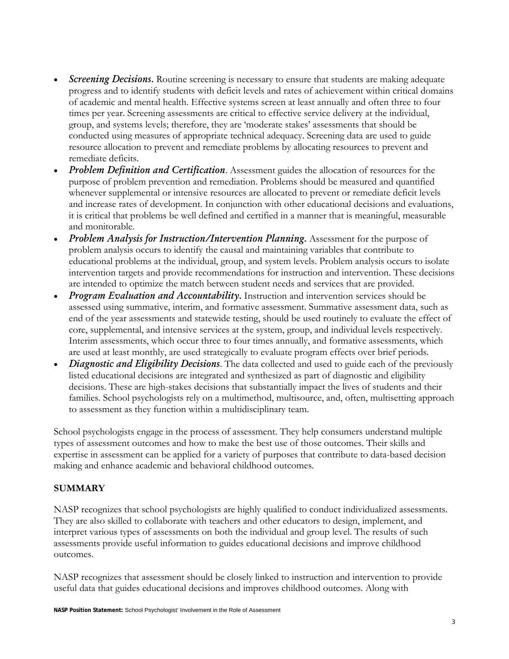- **Screening Decisions.** Routine screening is necessary to ensure that students are making adequate progress and to identify students with deficit levels and rates of achievement within critical domains of academic and mental health. Effective systems screen at least annually and often three to four times per year. Screening assessments are critical to effective service delivery at the individual, group, and systems levels; therefore, they are 'moderate stakes' assessments that should be conducted using measures of appropriate technical adequacy. Screening data are used to guide resource allocation to prevent and remediate problems by allocating resources to prevent and remediate deficits.
- *Problem Definition and Certification*. Assessment guides the allocation of resources for the purpose of problem prevention and remediation. Problems should be measured and quantified whenever supplemental or intensive resources are allocated to prevent or remediate deficit levels and increase rates of development. In conjunction with other educational decisions and evaluations, it is critical that problems be well defined and certified in a manner that is meaningful, measurable and monitorable.
- *Problem Analysis for Instruction/Intervention Planning.* Assessment for the purpose of problem analysis occurs to identify the causal and maintaining variables that contribute to educational problems at the individual, group, and system levels. Problem analysis occurs to isolate intervention targets and provide recommendations for instruction and intervention. These decisions are intended to optimize the match between student needs and services that are provided.
- *Program Evaluation and Accountability.* Instruction and intervention services should be assessed using summative, interim, and formative assessment. Summative assessment data, such as end of the year assessments and statewide testing, should be used routinely to evaluate the effect of core, supplemental, and intensive services at the system, group, and individual levels respectively. Interim assessments, which occur three to four times annually, and formative assessments, which are used at least monthly, are used strategically to evaluate program effects over brief periods.
- *Diagnostic and Eligibility Decisions*. The data collected and used to guide each of the previously listed educational decisions are integrated and synthesized as part of diagnostic and eligibility decisions. These are high-stakes decisions that substantially impact the lives of students and their families. School psychologists rely on a multimethod, multisource, and, often, multisetting approach to assessment as they function within a multidisciplinary team.

School psychologists engage in the process of assessment. They help consumers understand multiple types of assessment outcomes and how to make the best use of those outcomes. Their skills and expertise in assessment can be applied for a variety of purposes that contribute to data-based decision making and enhance academic and behavioral childhood outcomes.

### **SUMMARY**

NASP recognizes that school psychologists are highly qualified to conduct individualized assessments. They are also skilled to collaborate with teachers and other educators to design, implement, and interpret various types of assessments on both the individual and group level. The results of such assessments provide useful information to guides educational decisions and improve childhood outcomes.

NASP recognizes that assessment should be closely linked to instruction and intervention to provide useful data that guides educational decisions and improves childhood outcomes. Along with